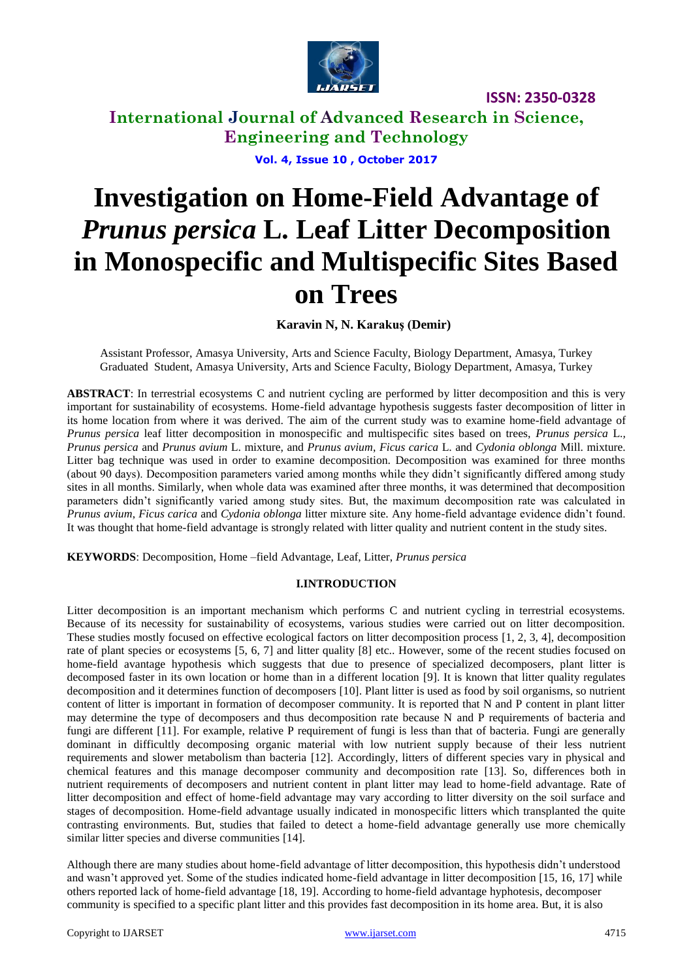

**International Journal of Advanced Research in Science, Engineering and Technology**

**Vol. 4, Issue 10 , October 2017**

# **Investigation on Home-Field Advantage of**  *Prunus persica* **L. Leaf Litter Decomposition in Monospecific and Multispecific Sites Based on Trees**

**Karavin N, N. Karakuş (Demir)** 

Assistant Professor, Amasya University, Arts and Science Faculty, Biology Department, Amasya, Turkey Graduated Student, Amasya University, Arts and Science Faculty, Biology Department, Amasya, Turkey

**ABSTRACT**: In terrestrial ecosystems C and nutrient cycling are performed by litter decomposition and this is very important for sustainability of ecosystems. Home-field advantage hypothesis suggests faster decomposition of litter in its home location from where it was derived. The aim of the current study was to examine home-field advantage of *Prunus persica* leaf litter decomposition in monospecific and multispecific sites based on trees, *Prunus persica* L.*, Prunus persica* and *Prunus avium* L. mixture, and *Prunus avium*, *Ficus carica* L. and *Cydonia oblonga* Mill. mixture. Litter bag technique was used in order to examine decomposition. Decomposition was examined for three months (about 90 days). Decomposition parameters varied among months while they didn"t significantly differed among study sites in all months. Similarly, when whole data was examined after three months, it was determined that decomposition parameters didn"t significantly varied among study sites. But, the maximum decomposition rate was calculated in *Prunus avium*, *Ficus carica* and *Cydonia oblonga* litter mixture site. Any home-field advantage evidence didn"t found. It was thought that home-field advantage is strongly related with litter quality and nutrient content in the study sites.

**KEYWORDS**: Decomposition, Home –field Advantage, Leaf, Litter, *Prunus persica*

### **I.INTRODUCTION**

Litter decomposition is an important mechanism which performs C and nutrient cycling in terrestrial ecosystems. Because of its necessity for sustainability of ecosystems, various studies were carried out on litter decomposition. These studies mostly focused on effective ecological factors on litter decomposition process [1, 2, 3, 4], decomposition rate of plant species or ecosystems [5, 6, 7] and litter quality [8] etc.. However, some of the recent studies focused on home-field avantage hypothesis which suggests that due to presence of specialized decomposers, plant litter is decomposed faster in its own location or home than in a different location [9]. It is known that litter quality regulates decomposition and it determines function of decomposers [10]. Plant litter is used as food by soil organisms, so nutrient content of litter is important in formation of decomposer community. It is reported that N and P content in plant litter may determine the type of decomposers and thus decomposition rate because N and P requirements of bacteria and fungi are different [11]. For example, relative P requirement of fungi is less than that of bacteria. Fungi are generally dominant in difficultly decomposing organic material with low nutrient supply because of their less nutrient requirements and slower metabolism than bacteria [12]. Accordingly, litters of different species vary in physical and chemical features and this manage decomposer community and decomposition rate [13]. So, differences both in nutrient requirements of decomposers and nutrient content in plant litter may lead to home-field advantage. Rate of litter decomposition and effect of home-field advantage may vary according to litter diversity on the soil surface and stages of decomposition. Home-field advantage usually indicated in monospecific litters which transplanted the quite contrasting environments. But, studies that failed to detect a home-field advantage generally use more chemically similar litter species and diverse communities [14].

Although there are many studies about home-field advantage of litter decomposition, this hypothesis didn"t understood and wasn"t approved yet. Some of the studies indicated home-field advantage in litter decomposition [15, 16, 17] while others reported lack of home-field advantage [18, 19]. According to home-field advantage hyphotesis, decomposer community is specified to a specific plant litter and this provides fast decomposition in its home area. But, it is also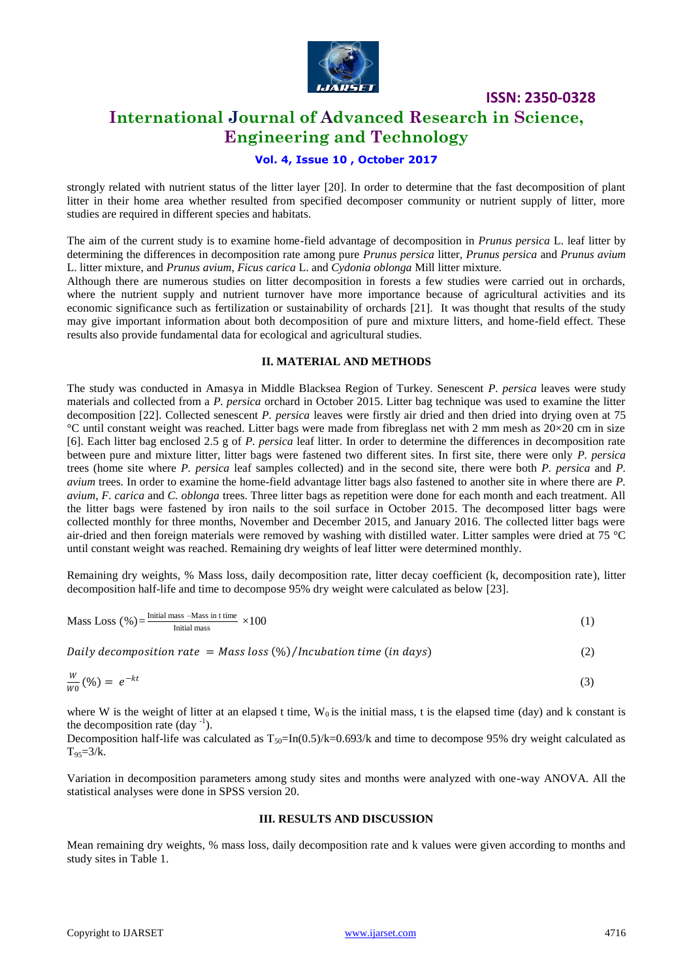

### **International Journal of Advanced Research in Science, Engineering and Technology**

### **Vol. 4, Issue 10 , October 2017**

strongly related with nutrient status of the litter layer [20]. In order to determine that the fast decomposition of plant litter in their home area whether resulted from specified decomposer community or nutrient supply of litter, more studies are required in different species and habitats.

The aim of the current study is to examine home-field advantage of decomposition in *Prunus persica* L. leaf litter by determining the differences in decomposition rate among pure *Prunus persica* litter, *Prunus persica* and *Prunus avium* L. litter mixture, and *Prunus avium*, *Ficus carica* L. and *Cydonia oblonga* Mill litter mixture.

Although there are numerous studies on litter decomposition in forests a few studies were carried out in orchards, where the nutrient supply and nutrient turnover have more importance because of agricultural activities and its economic significance such as fertilization or sustainability of orchards [21]. It was thought that results of the study may give important information about both decomposition of pure and mixture litters, and home-field effect. These results also provide fundamental data for ecological and agricultural studies.

### **II. MATERIAL AND METHODS**

The study was conducted in Amasya in Middle Blacksea Region of Turkey. Senescent *P. persica* leaves were study materials and collected from a *P. persica* orchard in October 2015. Litter bag technique was used to examine the litter decomposition [22]. Collected senescent *P. persica* leaves were firstly air dried and then dried into drying oven at 75 °C until constant weight was reached. Litter bags were made from fibreglass net with 2 mm mesh as 20×20 cm in size [6]. Each litter bag enclosed 2.5 g of *P. persica* leaf litter. In order to determine the differences in decomposition rate between pure and mixture litter, litter bags were fastened two different sites. In first site, there were only *P. persica* trees (home site where *P. persica* leaf samples collected) and in the second site, there were both *P. persica* and *P. avium* trees. In order to examine the home-field advantage litter bags also fastened to another site in where there are *P. avium*, *F. carica* and *C. oblonga* trees. Three litter bags as repetition were done for each month and each treatment. All the litter bags were fastened by iron nails to the soil surface in October 2015. The decomposed litter bags were collected monthly for three months, November and December 2015, and January 2016. The collected litter bags were air-dried and then foreign materials were removed by washing with distilled water. Litter samples were dried at 75 °C until constant weight was reached. Remaining dry weights of leaf litter were determined monthly.

Remaining dry weights, % Mass loss, daily decomposition rate, litter decay coefficient (k, decomposition rate), litter decomposition half-life and time to decompose 95% dry weight were calculated as below [23].

Mass Loss (
$$
\%
$$
) =  $\frac{\text{Initial mass} - \text{Mass in t time}}{\text{Initial mass}} \times 100$  (1)

Daily decomposition rate =  $Mass \ ( \%) / In cubation \ time \ ( in \ days)$  (2)

$$
\frac{w}{w_0}(\%) = e^{-kt} \tag{3}
$$

where W is the weight of litter at an elapsed t time,  $W_0$  is the initial mass, t is the elapsed time (day) and k constant is the decomposition rate  $(\text{day}^{-1})$ .

Decomposition half-life was calculated as  $T_{50}$ =In(0.5)/k=0.693/k and time to decompose 95% dry weight calculated as  $T_{95} = 3/k$ .

Variation in decomposition parameters among study sites and months were analyzed with one-way ANOVA. All the statistical analyses were done in SPSS version 20.

#### **III. RESULTS AND DISCUSSION**

Mean remaining dry weights, % mass loss, daily decomposition rate and k values were given according to months and study sites in Table 1.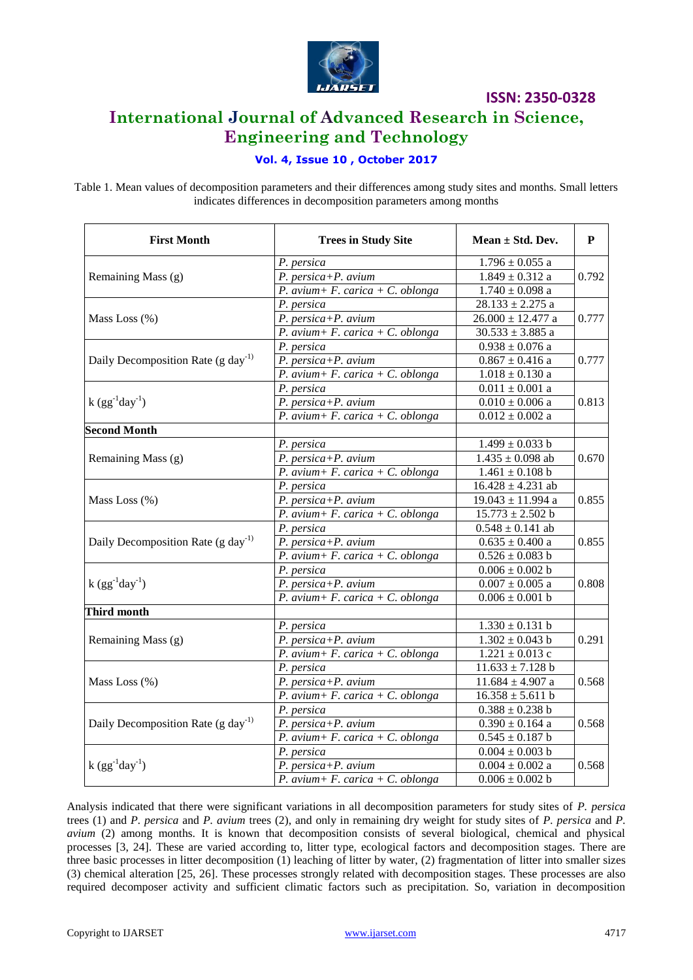

### **International Journal of Advanced Research in Science, Engineering and Technology**

### **Vol. 4, Issue 10 , October 2017**

Table 1. Mean values of decomposition parameters and their differences among study sites and months. Small letters indicates differences in decomposition parameters among months

| <b>First Month</b>                             | <b>Trees in Study Site</b>                       | Mean $\pm$ Std. Dev.  | P     |  |  |
|------------------------------------------------|--------------------------------------------------|-----------------------|-------|--|--|
| Remaining Mass (g)                             | P. persica                                       | $1.796 \pm 0.055$ a   | 0.792 |  |  |
|                                                | P. persica+P. avium                              | $1.849 \pm 0.312$ a   |       |  |  |
|                                                | P. avium + F. carica + C. oblonga                | $1.740 \pm 0.098$ a   |       |  |  |
| Mass Loss (%)                                  | P. persica                                       | $28.133 \pm 2.275$ a  |       |  |  |
|                                                | $P. persica+P. avium$                            | $26.000 \pm 12.477$ a | 0.777 |  |  |
|                                                | P. avium + F. carica + C. oblonga                | $30.533 \pm 3.885$ a  |       |  |  |
| Daily Decomposition Rate (g day <sup>-1)</sup> | P. persica                                       | $0.938\pm0.076$ a     |       |  |  |
|                                                | P. persica+P. avium                              | $0.867 \pm 0.416$ a   | 0.777 |  |  |
|                                                | P. avium + F. carica + C. oblonga                | $1.018\pm0.130$ a     |       |  |  |
| $k (gg^{-1}day^{-1})$                          | P. persica                                       | $0.011 \pm 0.001$ a   | 0.813 |  |  |
|                                                | $P. persica+P. avium$                            | $0.010\pm0.006$ a     |       |  |  |
|                                                | P. avium+ F. carica + C. oblonga                 | $0.012\pm0.002$ a     |       |  |  |
| <b>Second Month</b>                            |                                                  |                       |       |  |  |
| Remaining Mass (g)                             | P. persica                                       | $1.499 \pm 0.033$ b   | 0.670 |  |  |
|                                                | P. persica+P. avium                              | $1.435 \pm 0.098$ ab  |       |  |  |
|                                                | P. avium + F. carica + C. oblonga                | $1.461 \pm 0.108$ b   |       |  |  |
| Mass Loss (%)                                  | P. persica                                       | $16.428 \pm 4.231$ ab | 0.855 |  |  |
|                                                | P. persica+P. avium                              | $19.043 \pm 11.994$ a |       |  |  |
|                                                | P. avium + F. carica + C. oblonga                | $15.773 \pm 2.502$ b  |       |  |  |
|                                                | P. persica                                       | $0.548 \pm 0.141$ ab  | 0.855 |  |  |
| Daily Decomposition Rate (g day <sup>-1)</sup> | P. persica+P. avium                              | $0.635\pm0.400$ a     |       |  |  |
|                                                | P. avium + F. carica + C. oblonga                | $0.526\pm0.083$ b     |       |  |  |
| $k (gg^{-1}day^{-1})$                          | P. persica                                       | $0.006\pm0.002$ b     | 0.808 |  |  |
|                                                | $\overline{P}$ . persica+ $\overline{P}$ . avium | $0.007\pm0.005$ a     |       |  |  |
|                                                | P. avium + F. carica + C. oblonga                | $0.006 \pm 0.001$ b   |       |  |  |
| <b>Third month</b>                             |                                                  |                       |       |  |  |
| Remaining Mass (g)                             | P. persica                                       | $1.330 \pm 0.131$ b   | 0.291 |  |  |
|                                                | P. persica+P. avium                              | $1.302 \pm 0.043$ b   |       |  |  |
|                                                | P. avium + F. carica + C. oblonga                | $1.221 \pm 0.013$ c   |       |  |  |
| Mass Loss (%)                                  | P. persica                                       | $11.633 \pm 7.128$ b  | 0.568 |  |  |
|                                                | $P. persica+P. avium$                            | $11.684 \pm 4.907$ a  |       |  |  |
|                                                | P. avium+ F. carica + C. oblonga                 | $16.358 \pm 5.611$ b  |       |  |  |
| Daily Decomposition Rate $(g \, day^{-1})$     | P. persica                                       | $0.388\pm0.238$ b     | 0.568 |  |  |
|                                                | $P. persica+P. avium$                            | $0.390 \pm 0.164$ a   |       |  |  |
|                                                | P. avium+ F. carica + C. oblonga                 | $0.545\pm0.187$ b     |       |  |  |
| $k (gg^{-1}day^{-1})$                          | P. persica                                       | $0.004\pm0.003$ b     |       |  |  |
|                                                | $P. persica+P. avium$                            | $0.004 \pm 0.002$ a   | 0.568 |  |  |
|                                                | P. avium+ F. carica + C. oblonga                 | $0.006 \pm 0.002$ b   |       |  |  |

Analysis indicated that there were significant variations in all decomposition parameters for study sites of *P. persica*  trees (1) and *P. persica* and *P. avium* trees (2), and only in remaining dry weight for study sites of *P. persica* and *P. avium* (2) among months. It is known that decomposition consists of several biological, chemical and physical processes [3, 24]. These are varied according to, litter type, ecological factors and decomposition stages. There are three basic processes in litter decomposition (1) leaching of litter by water, (2) fragmentation of litter into smaller sizes (3) chemical alteration [25, 26]. These processes strongly related with decomposition stages. These processes are also required decomposer activity and sufficient climatic factors such as precipitation. So, variation in decomposition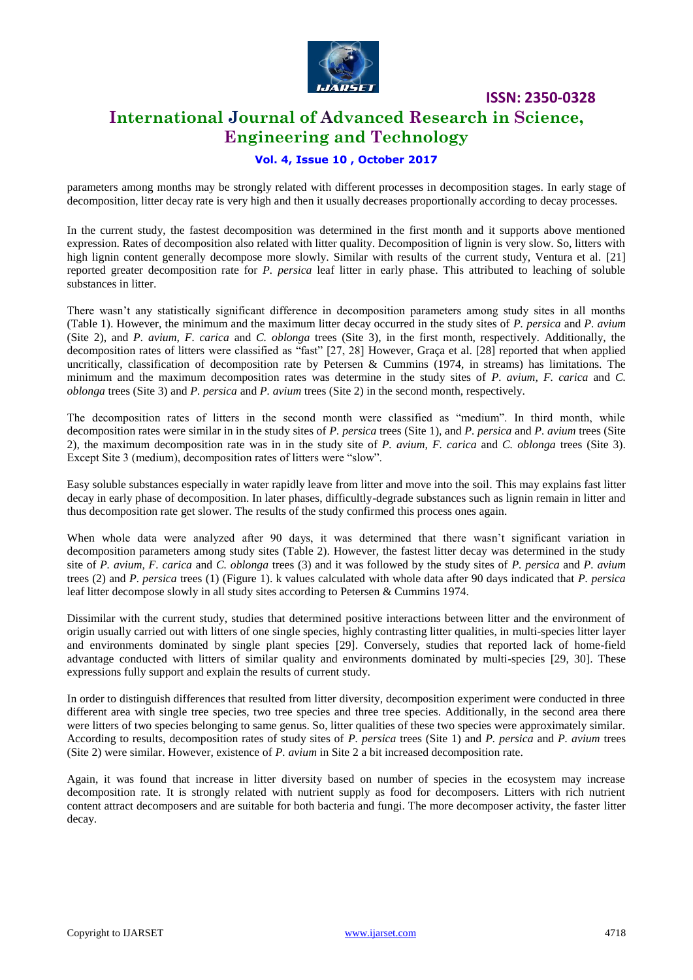

### **International Journal of Advanced Research in Science, Engineering and Technology**

### **Vol. 4, Issue 10 , October 2017**

parameters among months may be strongly related with different processes in decomposition stages. In early stage of decomposition, litter decay rate is very high and then it usually decreases proportionally according to decay processes.

In the current study, the fastest decomposition was determined in the first month and it supports above mentioned expression. Rates of decomposition also related with litter quality. Decomposition of lignin is very slow. So, litters with high lignin content generally decompose more slowly. Similar with results of the current study, Ventura et al. [21] reported greater decomposition rate for *P. persica* leaf litter in early phase. This attributed to leaching of soluble substances in litter.

There wasn"t any statistically significant difference in decomposition parameters among study sites in all months (Table 1). However, the minimum and the maximum litter decay occurred in the study sites of *P. persica* and *P. avium*  (Site 2), and *P. avium, F. carica* and *C. oblonga* trees (Site 3), in the first month, respectively. Additionally, the decomposition rates of litters were classified as "fast" [27, 28] However, Graça et al. [28] reported that when applied uncritically, classification of decomposition rate by Petersen & Cummins (1974, in streams) has limitations. The minimum and the maximum decomposition rates was determine in the study sites of *P. avium, F. carica* and *C. oblonga* trees (Site 3) and *P. persica* and *P. avium* trees (Site 2) in the second month, respectively.

The decomposition rates of litters in the second month were classified as "medium". In third month, while decomposition rates were similar in in the study sites of *P. persica* trees (Site 1), and *P. persica* and *P. avium* trees (Site 2), the maximum decomposition rate was in in the study site of *P. avium, F. carica* and *C. oblonga* trees (Site 3). Except Site 3 (medium), decomposition rates of litters were "slow".

Easy soluble substances especially in water rapidly leave from litter and move into the soil. This may explains fast litter decay in early phase of decomposition. In later phases, difficultly-degrade substances such as lignin remain in litter and thus decomposition rate get slower. The results of the study confirmed this process ones again.

When whole data were analyzed after 90 days, it was determined that there wasn't significant variation in decomposition parameters among study sites (Table 2). However, the fastest litter decay was determined in the study site of *P. avium, F. carica* and *C. oblonga* trees (3) and it was followed by the study sites of *P. persica* and *P. avium*  trees (2) and *P. persica* trees (1) (Figure 1). k values calculated with whole data after 90 days indicated that *P. persica* leaf litter decompose slowly in all study sites according to Petersen & Cummins 1974.

Dissimilar with the current study, studies that determined positive interactions between litter and the environment of origin usually carried out with litters of one single species, highly contrasting litter qualities, in multi-species litter layer and environments dominated by single plant species [29]. Conversely, studies that reported lack of home-field advantage conducted with litters of similar quality and environments dominated by multi-species [29, 30]. These expressions fully support and explain the results of current study.

In order to distinguish differences that resulted from litter diversity, decomposition experiment were conducted in three different area with single tree species, two tree species and three tree species. Additionally, in the second area there were litters of two species belonging to same genus. So, litter qualities of these two species were approximately similar. According to results, decomposition rates of study sites of *P. persica* trees (Site 1) and *P. persica* and *P. avium* trees (Site 2) were similar. However, existence of *P. avium* in Site 2 a bit increased decomposition rate.

Again, it was found that increase in litter diversity based on number of species in the ecosystem may increase decomposition rate. It is strongly related with nutrient supply as food for decomposers. Litters with rich nutrient content attract decomposers and are suitable for both bacteria and fungi. The more decomposer activity, the faster litter decay.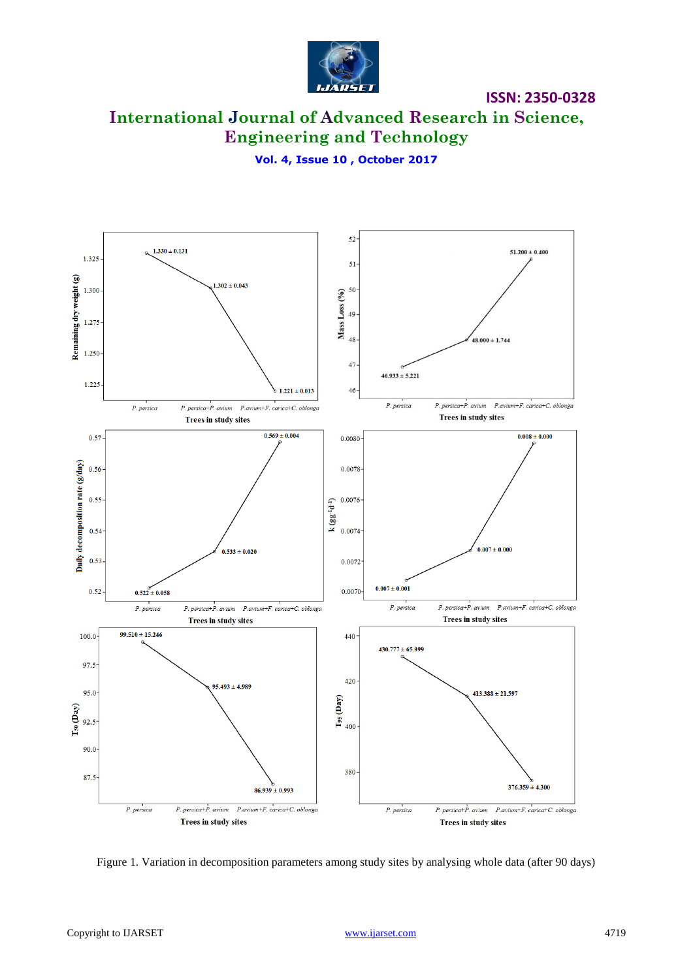

**International Journal of Advanced Research in Science, Engineering and Technology**

**Vol. 4, Issue 10 , October 2017**



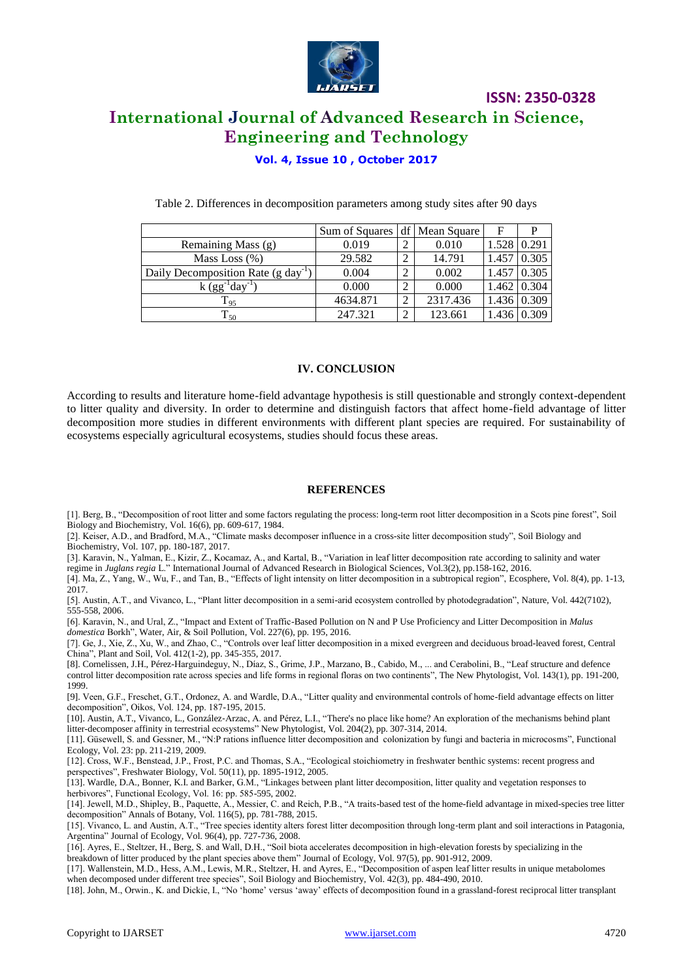

## **International Journal of Advanced Research in Science, Engineering and Technology**

**ISSN: 2350-0328**

### **Vol. 4, Issue 10 , October 2017**

|                                                 | Sum of Squares |                | df Mean Square | F                  | P           |
|-------------------------------------------------|----------------|----------------|----------------|--------------------|-------------|
| Remaining Mass (g)                              | 0.019          | 2              | 0.010          | $1.528 \mid 0.291$ |             |
| Mass Loss $(\%)$                                | 29.582         | 2              | 14.791         | 1.457              | 0.305       |
| Daily Decomposition Rate (g day <sup>-1</sup> ) | 0.004          | $\mathcal{D}$  | 0.002          | 1.457              | 0.305       |
| $k(gg^{-1}day^{-1})$                            | 0.000          | $\overline{2}$ | 0.000          |                    | 1.462 0.304 |
| $\mathrm{T}_{95}$                               | 4634.871       | ↑              | 2317.436       |                    | 1.436 0.309 |
| $T_{50}$                                        | 247.321        | $\overline{2}$ | 123.661        |                    |             |

Table 2. Differences in decomposition parameters among study sites after 90 days

#### **IV. CONCLUSION**

According to results and literature home-field advantage hypothesis is still questionable and strongly context-dependent to litter quality and diversity. In order to determine and distinguish factors that affect home-field advantage of litter decomposition more studies in different environments with different plant species are required. For sustainability of ecosystems especially agricultural ecosystems, studies should focus these areas.

#### **REFERENCES**

[1]. Berg, B., "Decomposition of root litter and some factors regulating the process: long-term root litter decomposition in a Scots pine forest", Soil Biology and Biochemistry, Vol. 16(6), pp. 609-617, 1984.

[2]. Keiser, A.D., and Bradford, M.A., "Climate masks decomposer influence in a cross-site litter decomposition study", Soil Biology and Biochemistry, Vol. 107, pp. 180-187, 2017.

[3]. Karavin, N., Yalman, E., Kizir, Z., Kocamaz, A., and Kartal, B., "Variation in leaf litter decomposition rate according to salinity and water regime in *Juglans regia* L." International Journal of Advanced Research in Biological Sciences, Vol.3(2), pp.158-162, 2016.

[4]. Ma, Z., Yang, W., Wu, F., and Tan, B., "Effects of light intensity on litter decomposition in a subtropical region", Ecosphere, Vol. 8(4), pp. 1-13, 2017.

[5]. Austin, A.T., and Vivanco, L., "Plant litter decomposition in a semi-arid ecosystem controlled by photodegradation", Nature, Vol. 442(7102), 555-558, 2006.

[6]. Karavin, N., and Ural, Z., "Impact and Extent of Traffic-Based Pollution on N and P Use Proficiency and Litter Decomposition in *Malus domestica* Borkh", Water, Air, & Soil Pollution, Vol. 227(6), pp. 195, 2016.

[7]. Ge, J., Xie, Z., Xu, W., and Zhao, C., "Controls over leaf litter decomposition in a mixed evergreen and deciduous broad-leaved forest, Central China", Plant and Soil, Vol. 412(1-2), pp. 345-355, 2017.

[8]. Cornelissen, J.H., Pérez-Harguindeguy, N., Díaz, S., Grime, J.P., Marzano, B., Cabido, M., ... and Cerabolini, B., "Leaf structure and defence control litter decomposition rate across species and life forms in regional floras on two continents", The New Phytologist, Vol. 143(1), pp. 191-200, 1999.

[9]. Veen, G.F., Freschet, G.T., Ordonez, A. and Wardle, D.A., "Litter quality and environmental controls of home-field advantage effects on litter decomposition", Oikos, Vol. 124, pp. 187-195, 2015.

[10]. Austin, A.T., Vivanco, L., González‐Arzac, A. and Pérez, L.I., "There's no place like home? An exploration of the mechanisms behind plant litter-decomposer affinity in terrestrial ecosystems" New Phytologist, Vol. 204(2), pp. 307-314, 2014.

[11]. Güsewell, S. and Gessner, M., "N:P rations influence litter decomposition and colonization by fungi and bacteria in microcosms", Functional Ecology, Vol. 23: pp. 211-219, 2009.

[12]. Cross, W.F., Benstead, J.P., Frost, P.C. and Thomas, S.A., "Ecological stoichiometry in freshwater benthic systems: recent progress and perspectives", Freshwater Biology, Vol. 50(11), pp. 1895-1912, 2005.

[13]. Wardle, D.A., Bonner, K.I. and Barker, G.M., "Linkages between plant litter decomposition, litter quality and vegetation responses to herbivores", Functional Ecology, Vol. 16: pp. 585-595, 2002.

[14]. Jewell, M.D., Shipley, B., Paquette, A., Messier, C. and Reich, P.B., "A traits-based test of the home-field advantage in mixed-species tree litter decomposition" Annals of Botany, Vol. 116(5), pp. 781-788, 2015.

[15]. Vivanco, L. and Austin, A.T., "Tree species identity alters forest litter decomposition through long-term plant and soil interactions in Patagonia, Argentina" Journal of Ecology, Vol. 96(4), pp. 727-736, 2008.

[16]. Ayres, E., Steltzer, H., Berg, S. and Wall, D.H., "Soil biota accelerates decomposition in high‐elevation forests by specializing in the breakdown of litter produced by the plant species above them" Journal of Ecology, Vol. 97(5), pp. 901-912, 2009.

[17]. Wallenstein, M.D., Hess, A.M., Lewis, M.R., Steltzer, H. and Ayres, E., "Decomposition of aspen leaf litter results in unique metabolomes when decomposed under different tree species", Soil Biology and Biochemistry, Vol. 42(3), pp. 484-490, 2010.

[18]. John, M., Orwin., K. and Dickie, I., "No "home" versus "away" effects of decomposition found in a grassland-forest reciprocal litter transplant